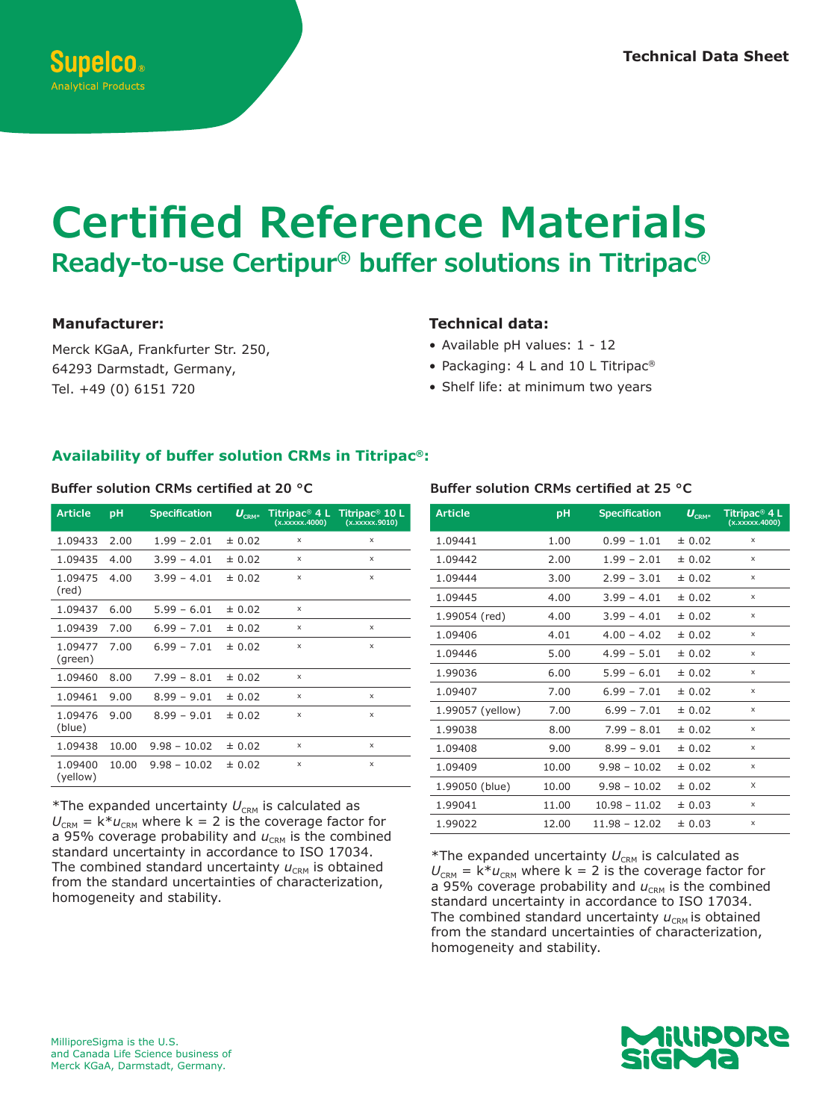# **Certified Reference Materials Ready-to-use Certipur® buffer solutions in Titripac®**

### **Manufacturer:**

Merck KGaA, Frankfurter Str. 250, 64293 Darmstadt, Germany, Tel. +49 (0) 6151 720

## **Technical data:**

- Available pH values: 1 12
- Packaging: 4 L and 10 L Titripac<sup>®</sup>
- Shelf life: at minimum two years

### **Availability of buffer solution CRMs in Titripac®:**

| <b>Article</b>      | pH    | <b>Specification</b> | $U_{\scriptscriptstyle{\mathrm{CRM}^*}}$ | Titripac <sup>®</sup> 4 L<br>(x.xxxxx.4000) | Titripac <sup>®</sup> 10 L<br>(x.xxxxx.9010) |
|---------------------|-------|----------------------|------------------------------------------|---------------------------------------------|----------------------------------------------|
| 1.09433             | 2.00  | $1.99 - 2.01$        | ± 0.02                                   | X                                           | X                                            |
| 1.09435             | 4.00  | $3.99 - 4.01$        | ± 0.02                                   | X                                           | X                                            |
| 1.09475<br>(red)    | 4.00  | $3.99 - 4.01$        | ± 0.02                                   | X                                           | X                                            |
| 1.09437             | 6.00  | $5.99 - 6.01$        | ± 0.02                                   | $\times$                                    |                                              |
| 1.09439             | 7.00  | $6.99 - 7.01$        | ± 0.02                                   | X                                           | X                                            |
| 1.09477<br>(green)  | 7.00  | $6.99 - 7.01$        | ± 0.02                                   | X                                           | X                                            |
| 1.09460             | 8.00  | $7.99 - 8.01$        | ± 0.02                                   | X                                           |                                              |
| 1.09461             | 9.00  | $8.99 - 9.01$        | ± 0.02                                   | X                                           | X                                            |
| 1.09476<br>(blue)   | 9.00  | $8.99 - 9.01$        | ± 0.02                                   | X                                           | X                                            |
| 1.09438             | 10.00 | $9.98 - 10.02$       | ± 0.02                                   | X                                           | X                                            |
| 1.09400<br>(yellow) | 10.00 | $9.98 - 10.02$       | ± 0.02                                   | X                                           | X                                            |

 $*$ The expanded uncertainty  $U_{\text{CRM}}$  is calculated as  $U_{\text{CRM}} = k^* u_{\text{CRM}}$  where k = 2 is the coverage factor for a 95% coverage probability and  $u_{\text{CRM}}$  is the combined standard uncertainty in accordance to ISO 17034. The combined standard uncertainty  $u_{\text{CRM}}$  is obtained from the standard uncertainties of characterization, homogeneity and stability.

#### **Buffer solution CRMs certified at 20 °C Buffer solution CRMs certified at 25 °C**

| <b>Article</b>   | pH    | <b>Specification</b> | $U_{\textrm{\tiny{CRM}}^*}$ | Titripac <sup>®</sup> 4 L<br>(x.xxxxx.4000) |
|------------------|-------|----------------------|-----------------------------|---------------------------------------------|
| 1.09441          | 1.00  | $0.99 - 1.01$        | ± 0.02                      | X                                           |
| 1.09442          | 2.00  | $1.99 - 2.01$        | ± 0.02                      | X                                           |
| 1.09444          | 3.00  | $2.99 - 3.01$        | ± 0.02                      | X                                           |
| 1.09445          | 4.00  | $3.99 - 4.01$        | ± 0.02                      | x                                           |
| 1.99054 (red)    | 4.00  | $3.99 - 4.01$        | ± 0.02                      | X                                           |
| 1.09406          | 4.01  | $4.00 - 4.02$        | ± 0.02                      | X                                           |
| 1.09446          | 5.00  | $4.99 - 5.01$        | ± 0.02                      | X                                           |
| 1.99036          | 6.00  | $5.99 - 6.01$        | ± 0.02                      | X                                           |
| 1.09407          | 7.00  | $6.99 - 7.01$        | ± 0.02                      | X                                           |
| 1.99057 (yellow) | 7.00  | $6.99 - 7.01$        | ± 0.02                      | X                                           |
| 1.99038          | 8.00  | $7.99 - 8.01$        | ± 0.02                      | X                                           |
| 1.09408          | 9.00  | $8.99 - 9.01$        | ± 0.02                      | X                                           |
| 1.09409          | 10.00 | $9.98 - 10.02$       | ± 0.02                      | X                                           |
| 1.99050 (blue)   | 10.00 | $9.98 - 10.02$       | ± 0.02                      | X                                           |
| 1.99041          | 11.00 | $10.98 - 11.02$      | ± 0.03                      | X                                           |
| 1.99022          | 12.00 | $11.98 - 12.02$      | ± 0.03                      | x                                           |

\*The expanded uncertainty  $U_{\text{CRM}}$  is calculated as  $U_{\text{CRM}} = k^* u_{\text{CRM}}$  where k = 2 is the coverage factor for a 95% coverage probability and  $u_{\text{CRM}}$  is the combined standard uncertainty in accordance to ISO 17034. The combined standard uncertainty  $u_{\text{CRM}}$  is obtained from the standard uncertainties of characterization, homogeneity and stability.

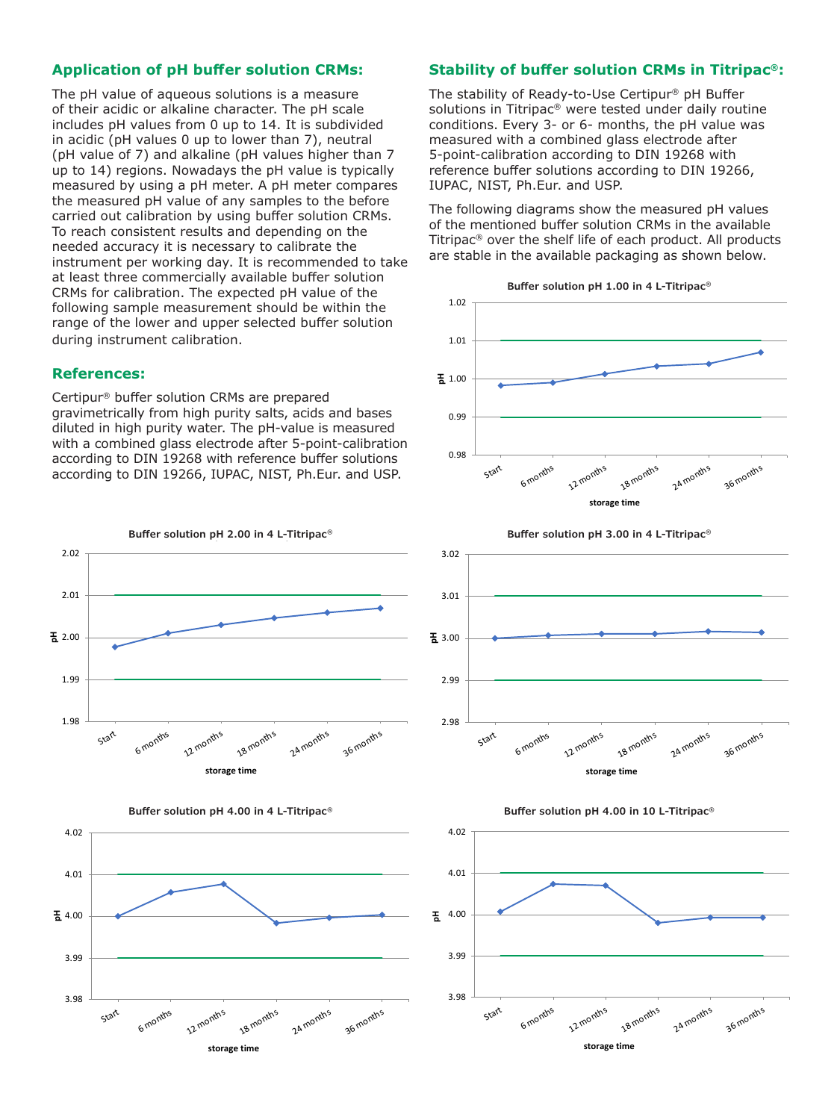#### **Application of pH buffer solution CRMs:**

The pH value of aqueous solutions is a measure of their acidic or alkaline character. The pH scale includes pH values from 0 up to 14. It is subdivided in acidic (pH values 0 up to lower than 7), neutral (pH value of 7) and alkaline (pH values higher than 7 up to 14) regions. Nowadays the pH value is typically measured by using a pH meter. A pH meter compares the measured pH value of any samples to the before carried out calibration by using buffer solution CRMs. To reach consistent results and depending on the needed accuracy it is necessary to calibrate the instrument per working day. It is recommended to take at least three commercially available buffer solution CRMs for calibration. The expected pH value of the following sample measurement should be within the range of the lower and upper selected buffer solution during instrument calibration.

#### **References:**

Certipur® buffer solution CRMs are prepared gravimetrically from high purity salts, acids and bases diluted in high purity water. The pH-value is measured with a combined glass electrode after 5-point-calibration according to DIN 19268 with reference buffer solutions according to DIN 19266, IUPAC, NIST, Ph.Eur. and USP.





#### **Stability of buffer solution CRMs in Titripac®:**

The stability of Ready-to-Use Certipur® pH Buffer solutions in Titripac® were tested under daily routine conditions. Every 3- or 6- months, the pH value was measured with a combined glass electrode after 5-point-calibration according to DIN 19268 with reference buffer solutions according to DIN 19266, IUPAC, NIST, Ph.Eur. and USP.

The following diagrams show the measured pH values of the mentioned buffer solution CRMs in the available Titripac® over the shelf life of each product. All products are stable in the available packaging as shown below.







**Buffer solution pH 3.00 in 4 L-Titripac® Buffer solution pH 3.00 in 4l-Titripac**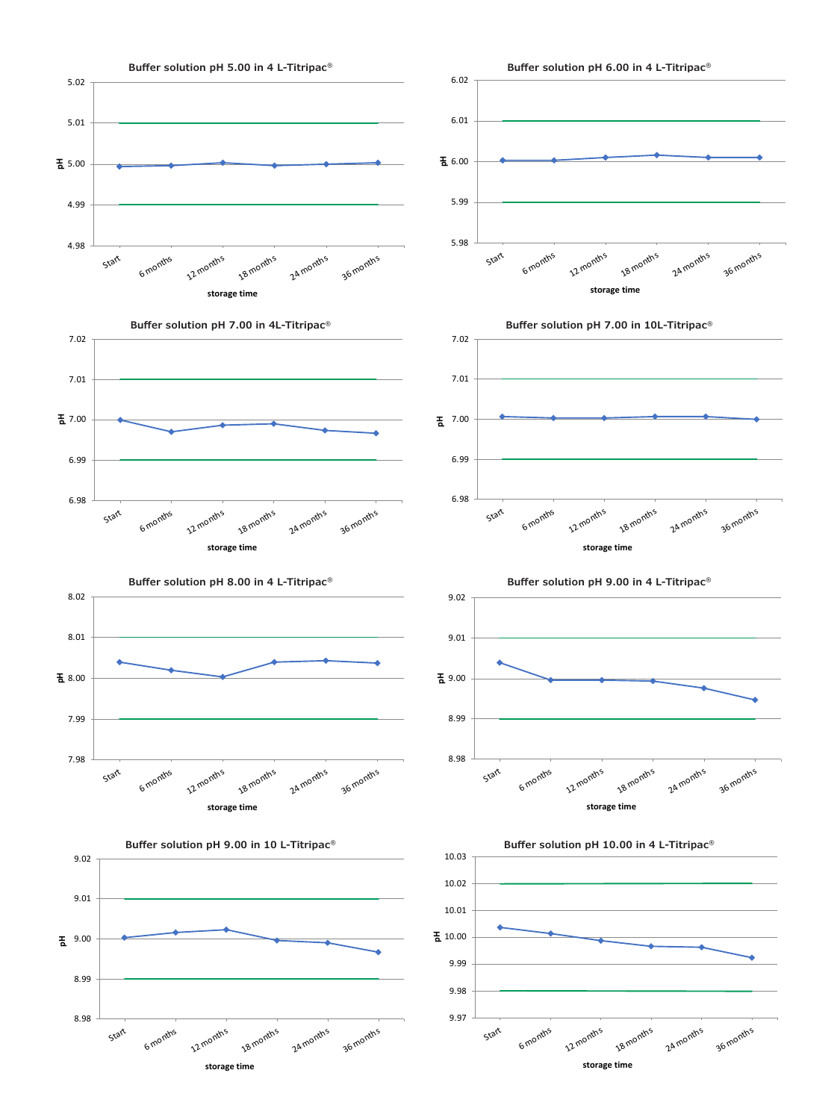